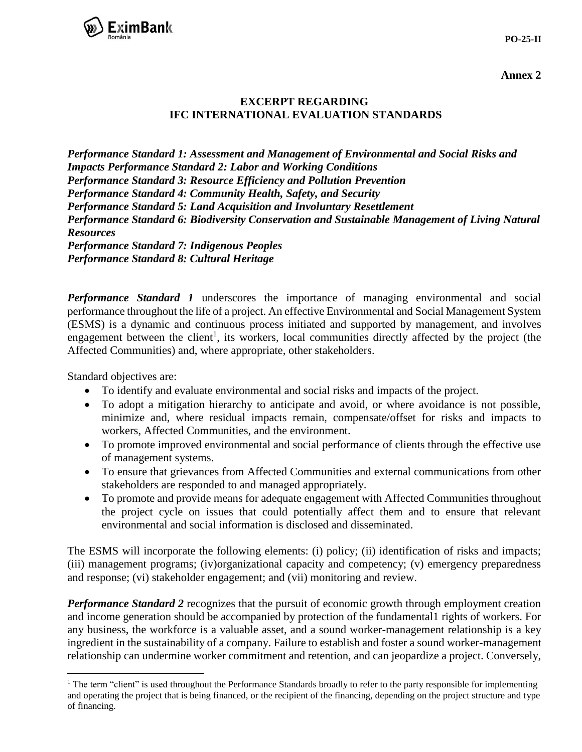

**Annex 2**

## **EXCERPT REGARDING IFC INTERNATIONAL EVALUATION STANDARDS**

*Performance Standard 1: Assessment and Management of Environmental and Social Risks and Impacts Performance Standard 2: Labor and Working Conditions Performance Standard 3: Resource Efficiency and Pollution Prevention Performance Standard 4: Community Health, Safety, and Security Performance Standard 5: Land Acquisition and Involuntary Resettlement Performance Standard 6: Biodiversity Conservation and Sustainable Management of Living Natural Resources Performance Standard 7: Indigenous Peoples Performance Standard 8: Cultural Heritage*

*Performance Standard 1* underscores the importance of managing environmental and social performance throughout the life of a project. An effective Environmental and Social Management System (ESMS) is a dynamic and continuous process initiated and supported by management, and involves engagement between the client<sup>1</sup>, its workers, local communities directly affected by the project (the Affected Communities) and, where appropriate, other stakeholders.

Standard objectives are:

 $\overline{a}$ 

- To identify and evaluate environmental and social risks and impacts of the project.
- To adopt a mitigation hierarchy to anticipate and avoid, or where avoidance is not possible, minimize and, where residual impacts remain, compensate/offset for risks and impacts to workers, Affected Communities, and the environment.
- To promote improved environmental and social performance of clients through the effective use of management systems.
- To ensure that grievances from Affected Communities and external communications from other stakeholders are responded to and managed appropriately.
- To promote and provide means for adequate engagement with Affected Communities throughout the project cycle on issues that could potentially affect them and to ensure that relevant environmental and social information is disclosed and disseminated.

The ESMS will incorporate the following elements: (i) policy; (ii) identification of risks and impacts; (iii) management programs; (iv)organizational capacity and competency; (v) emergency preparedness and response; (vi) stakeholder engagement; and (vii) monitoring and review.

*Performance Standard 2* recognizes that the pursuit of economic growth through employment creation and income generation should be accompanied by protection of the fundamental1 rights of workers. For any business, the workforce is a valuable asset, and a sound worker-management relationship is a key ingredient in the sustainability of a company. Failure to establish and foster a sound worker-management relationship can undermine worker commitment and retention, and can jeopardize a project. Conversely,

<sup>&</sup>lt;sup>1</sup> The term "client" is used throughout the Performance Standards broadly to refer to the party responsible for implementing and operating the project that is being financed, or the recipient of the financing, depending on the project structure and type of financing.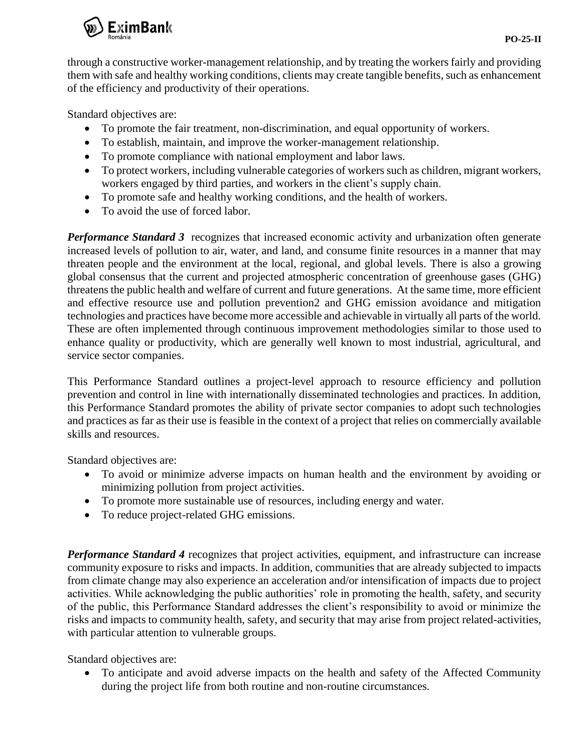

through a constructive worker-management relationship, and by treating the workers fairly and providing them with safe and healthy working conditions, clients may create tangible benefits, such as enhancement of the efficiency and productivity of their operations.

Standard objectives are:

- To promote the fair treatment, non-discrimination, and equal opportunity of workers.
- To establish, maintain, and improve the worker-management relationship.
- To promote compliance with national employment and labor laws.
- To protect workers, including vulnerable categories of workers such as children, migrant workers, workers engaged by third parties, and workers in the client's supply chain.
- To promote safe and healthy working conditions, and the health of workers.
- To avoid the use of forced labor.

*Performance Standard 3* recognizes that increased economic activity and urbanization often generate increased levels of pollution to air, water, and land, and consume finite resources in a manner that may threaten people and the environment at the local, regional, and global levels. There is also a growing global consensus that the current and projected atmospheric concentration of greenhouse gases (GHG) threatens the public health and welfare of current and future generations. At the same time, more efficient and effective resource use and pollution prevention2 and GHG emission avoidance and mitigation technologies and practices have become more accessible and achievable in virtually all parts of the world. These are often implemented through continuous improvement methodologies similar to those used to enhance quality or productivity, which are generally well known to most industrial, agricultural, and service sector companies.

This Performance Standard outlines a project-level approach to resource efficiency and pollution prevention and control in line with internationally disseminated technologies and practices. In addition, this Performance Standard promotes the ability of private sector companies to adopt such technologies and practices as far as their use is feasible in the context of a project that relies on commercially available skills and resources.

Standard objectives are:

- To avoid or minimize adverse impacts on human health and the environment by avoiding or minimizing pollution from project activities.
- To promote more sustainable use of resources, including energy and water.
- To reduce project-related GHG emissions.

*Performance Standard 4* recognizes that project activities, equipment, and infrastructure can increase community exposure to risks and impacts. In addition, communities that are already subjected to impacts from climate change may also experience an acceleration and/or intensification of impacts due to project activities. While acknowledging the public authorities' role in promoting the health, safety, and security of the public, this Performance Standard addresses the client's responsibility to avoid or minimize the risks and impacts to community health, safety, and security that may arise from project related-activities, with particular attention to vulnerable groups.

Standard objectives are:

 To anticipate and avoid adverse impacts on the health and safety of the Affected Community during the project life from both routine and non-routine circumstances.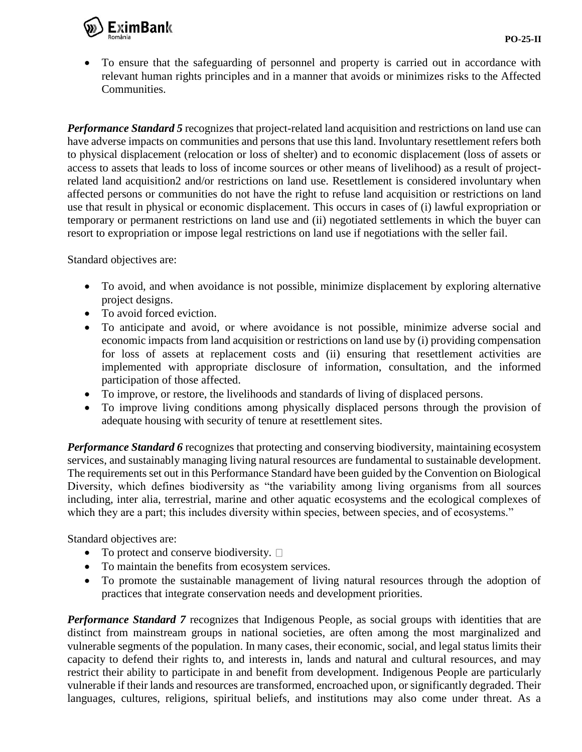

 To ensure that the safeguarding of personnel and property is carried out in accordance with relevant human rights principles and in a manner that avoids or minimizes risks to the Affected Communities.

*Performance Standard 5* recognizes that project-related land acquisition and restrictions on land use can have adverse impacts on communities and persons that use this land. Involuntary resettlement refers both to physical displacement (relocation or loss of shelter) and to economic displacement (loss of assets or access to assets that leads to loss of income sources or other means of livelihood) as a result of projectrelated land acquisition2 and/or restrictions on land use. Resettlement is considered involuntary when affected persons or communities do not have the right to refuse land acquisition or restrictions on land use that result in physical or economic displacement. This occurs in cases of (i) lawful expropriation or temporary or permanent restrictions on land use and (ii) negotiated settlements in which the buyer can resort to expropriation or impose legal restrictions on land use if negotiations with the seller fail.

Standard objectives are:

- To avoid, and when avoidance is not possible, minimize displacement by exploring alternative project designs.
- To avoid forced eviction.
- To anticipate and avoid, or where avoidance is not possible, minimize adverse social and economic impacts from land acquisition or restrictions on land use by (i) providing compensation for loss of assets at replacement costs and (ii) ensuring that resettlement activities are implemented with appropriate disclosure of information, consultation, and the informed participation of those affected.
- To improve, or restore, the livelihoods and standards of living of displaced persons.
- To improve living conditions among physically displaced persons through the provision of adequate housing with security of tenure at resettlement sites.

*Performance Standard 6* recognizes that protecting and conserving biodiversity, maintaining ecosystem services, and sustainably managing living natural resources are fundamental to sustainable development. The requirements set out in this Performance Standard have been guided by the Convention on Biological Diversity, which defines biodiversity as "the variability among living organisms from all sources including, inter alia, terrestrial, marine and other aquatic ecosystems and the ecological complexes of which they are a part; this includes diversity within species, between species, and of ecosystems."

Standard objectives are:

- To protect and conserve biodiversity.  $\Box$
- To maintain the benefits from ecosystem services.
- To promote the sustainable management of living natural resources through the adoption of practices that integrate conservation needs and development priorities.

*Performance Standard 7* recognizes that Indigenous People, as social groups with identities that are distinct from mainstream groups in national societies, are often among the most marginalized and vulnerable segments of the population. In many cases, their economic, social, and legal status limits their capacity to defend their rights to, and interests in, lands and natural and cultural resources, and may restrict their ability to participate in and benefit from development. Indigenous People are particularly vulnerable if their lands and resources are transformed, encroached upon, or significantly degraded. Their languages, cultures, religions, spiritual beliefs, and institutions may also come under threat. As a